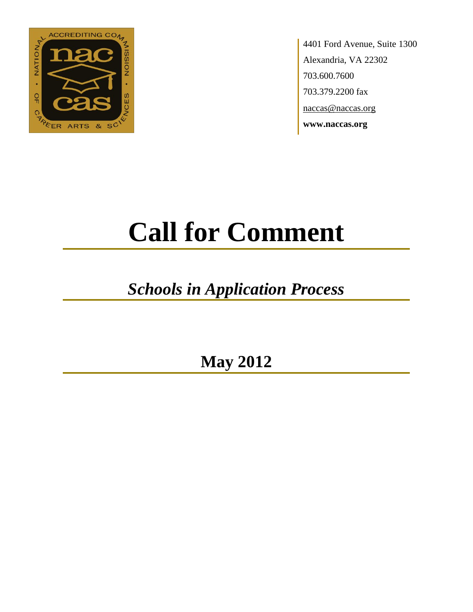

4401 Ford Avenue, Suite 1300 Alexandria, VA 22302 703.600.7600 703.379.2200 fax naccas@naccas.org **www.naccas.org**

# **Call for Comment**

## *Schools in Application Process*

**May 2012**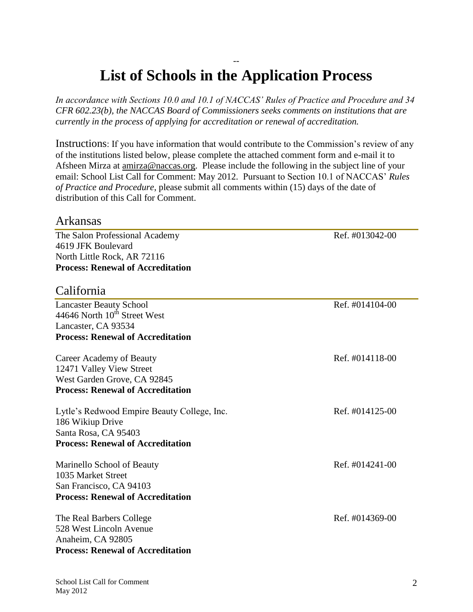### -- **List of Schools in the Application Process**

*In accordance with Sections 10.0 and 10.1 of NACCAS' Rules of Practice and Procedure and 34 CFR 602.23(b), the NACCAS Board of Commissioners seeks comments on institutions that are currently in the process of applying for accreditation or renewal of accreditation.*

Instructions: If you have information that would contribute to the Commission's review of any of the institutions listed below, please complete the attached comment form and e-mail it to Afsheen Mirza at [amirza@naccas.org.](mailto:amirza@naccas.org) Please include the following in the subject line of your email: School List Call for Comment: May 2012. Pursuant to Section 10.1 of NACCAS' *Rules of Practice and Procedure*, please submit all comments within (15) days of the date of distribution of this Call for Comment.

#### Arkansas

The Salon Professional Academy Ref. #013042-00 4619 JFK Boulevard North Little Rock, AR 72116 **Process: Renewal of Accreditation**

#### California

| <b>Lancaster Beauty School</b><br>44646 North 10 <sup>th</sup> Street West | Ref. #014104-00 |
|----------------------------------------------------------------------------|-----------------|
| Lancaster, CA 93534                                                        |                 |
| <b>Process: Renewal of Accreditation</b>                                   |                 |
| Career Academy of Beauty                                                   | Ref. #014118-00 |
| 12471 Valley View Street                                                   |                 |
| West Garden Grove, CA 92845                                                |                 |
| <b>Process: Renewal of Accreditation</b>                                   |                 |
| Lytle's Redwood Empire Beauty College, Inc.                                | Ref. #014125-00 |
| 186 Wikiup Drive                                                           |                 |
| Santa Rosa, CA 95403                                                       |                 |
| <b>Process: Renewal of Accreditation</b>                                   |                 |
| Marinello School of Beauty                                                 | Ref. #014241-00 |
| 1035 Market Street                                                         |                 |
| San Francisco, CA 94103                                                    |                 |
| <b>Process: Renewal of Accreditation</b>                                   |                 |
| The Real Barbers College                                                   | Ref. #014369-00 |
| 528 West Lincoln Avenue                                                    |                 |
| Anaheim, CA 92805                                                          |                 |
| <b>Process: Renewal of Accreditation</b>                                   |                 |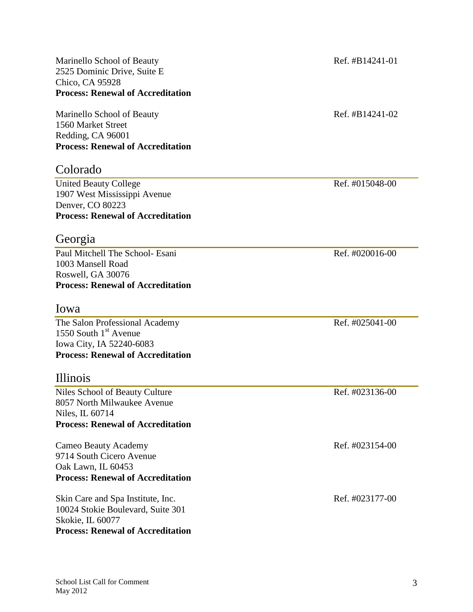Marinello School of Beauty Ref. #B14241-01 2525 Dominic Drive, Suite E Chico, CA 95928 **Process: Renewal of Accreditation**

Marinello School of Beauty Ref. #B14241-02 1560 Market Street Redding, CA 96001 **Process: Renewal of Accreditation**

#### Colorado

United Beauty College Ref. #015048-00 1907 West Mississippi Avenue Denver, CO 80223 **Process: Renewal of Accreditation**

#### Georgia

Paul Mitchell The School- Esani Ref. #020016-00 1003 Mansell Road Roswell, GA 30076 **Process: Renewal of Accreditation**

#### Iowa

The Salon Professional Academy Ref. #025041-00 1550 South  $1<sup>st</sup>$  Avenue Iowa City, IA 52240-6083 **Process: Renewal of Accreditation**

#### Illinois

Niles School of Beauty Culture Ref. #023136-00 8057 North Milwaukee Avenue Niles, IL 60714 **Process: Renewal of Accreditation**

Cameo Beauty Academy **Ref.** #023154-00 9714 South Cicero Avenue Oak Lawn, IL 60453 **Process: Renewal of Accreditation**

Skin Care and Spa Institute, Inc.  $\qquad \qquad$  Ref. #023177-00 10024 Stokie Boulevard, Suite 301 Skokie, IL 60077 **Process: Renewal of Accreditation**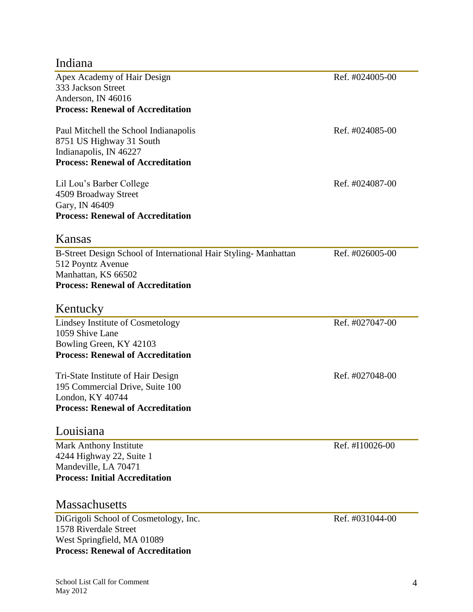## Indiana

| Apex Academy of Hair Design                                    | Ref. #024005-00 |
|----------------------------------------------------------------|-----------------|
| 333 Jackson Street                                             |                 |
| Anderson, IN 46016                                             |                 |
| <b>Process: Renewal of Accreditation</b>                       |                 |
| Paul Mitchell the School Indianapolis                          | Ref. #024085-00 |
| 8751 US Highway 31 South                                       |                 |
| Indianapolis, IN 46227                                         |                 |
| <b>Process: Renewal of Accreditation</b>                       |                 |
| Lil Lou's Barber College                                       | Ref. #024087-00 |
| 4509 Broadway Street                                           |                 |
| Gary, IN 46409                                                 |                 |
| <b>Process: Renewal of Accreditation</b>                       |                 |
| Kansas                                                         |                 |
| B-Street Design School of International Hair Styling-Manhattan | Ref. #026005-00 |
| 512 Poyntz Avenue                                              |                 |
| Manhattan, KS 66502                                            |                 |
| <b>Process: Renewal of Accreditation</b>                       |                 |
| Kentucky                                                       |                 |
| Lindsey Institute of Cosmetology                               | Ref. #027047-00 |
| 1059 Shive Lane                                                |                 |
| Bowling Green, KY 42103                                        |                 |
| <b>Process: Renewal of Accreditation</b>                       |                 |
| Tri-State Institute of Hair Design                             | Ref. #027048-00 |
| 195 Commercial Drive, Suite 100                                |                 |
| London, KY 40744                                               |                 |
| <b>Process: Renewal of Accreditation</b>                       |                 |
| Louisiana                                                      |                 |
| Mark Anthony Institute                                         | Ref. #I10026-00 |
| 4244 Highway 22, Suite 1                                       |                 |
| Mandeville, LA 70471                                           |                 |
| <b>Process: Initial Accreditation</b>                          |                 |
| <b>Massachusetts</b>                                           |                 |
| DiGrigoli School of Cosmetology, Inc.                          | Ref. #031044-00 |
| 1578 Riverdale Street                                          |                 |
| West Springfield, MA 01089                                     |                 |
| <b>Process: Renewal of Accreditation</b>                       |                 |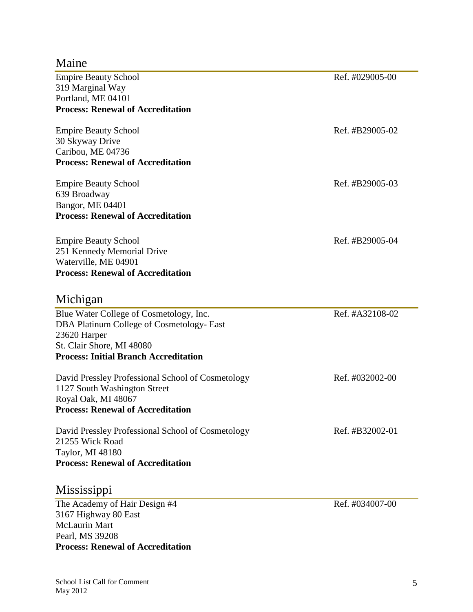**Process: Renewal of Accreditation**

McLaurin Mart Pearl, MS 39208

#### Maine

| <b>Empire Beauty School</b>                       | Ref. #029005-00 |
|---------------------------------------------------|-----------------|
| 319 Marginal Way                                  |                 |
| Portland, ME 04101                                |                 |
| <b>Process: Renewal of Accreditation</b>          |                 |
| <b>Empire Beauty School</b>                       | Ref. #B29005-02 |
| 30 Skyway Drive                                   |                 |
| Caribou, ME 04736                                 |                 |
| <b>Process: Renewal of Accreditation</b>          |                 |
| <b>Empire Beauty School</b>                       | Ref. #B29005-03 |
| 639 Broadway                                      |                 |
| Bangor, ME 04401                                  |                 |
| <b>Process: Renewal of Accreditation</b>          |                 |
| <b>Empire Beauty School</b>                       | Ref. #B29005-04 |
| 251 Kennedy Memorial Drive                        |                 |
| Waterville, ME 04901                              |                 |
| <b>Process: Renewal of Accreditation</b>          |                 |
| Michigan                                          |                 |
| Blue Water College of Cosmetology, Inc.           | Ref. #A32108-02 |
| DBA Platinum College of Cosmetology- East         |                 |
| 23620 Harper                                      |                 |
| St. Clair Shore, MI 48080                         |                 |
| <b>Process: Initial Branch Accreditation</b>      |                 |
| David Pressley Professional School of Cosmetology | Ref. #032002-00 |
| 1127 South Washington Street                      |                 |
| Royal Oak, MI 48067                               |                 |
| <b>Process: Renewal of Accreditation</b>          |                 |
| David Pressley Professional School of Cosmetology | Ref. #B32002-01 |
| 21255 Wick Road                                   |                 |
| Taylor, MI 48180                                  |                 |
| <b>Process: Renewal of Accreditation</b>          |                 |
| Mississippi                                       |                 |
| The Academy of Hair Design #4                     | Ref. #034007-00 |
| 3167 Highway 80 East                              |                 |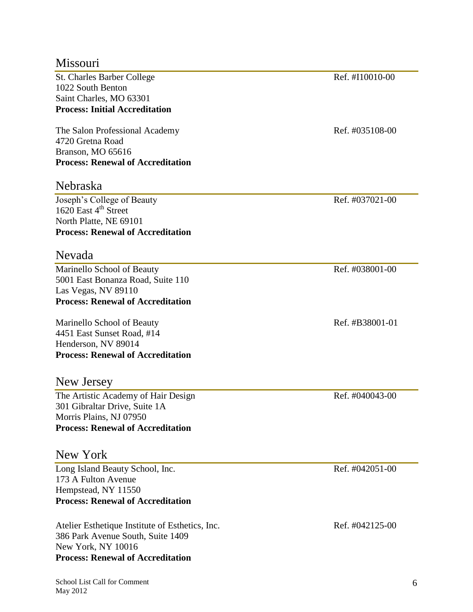#### Missouri

St. Charles Barber College Ref. #I10010-00 1022 South Benton Saint Charles, MO 63301 **Process: Initial Accreditation**

The Salon Professional Academy Ref. #035108-00 4720 Gretna Road Branson, MO 65616 **Process: Renewal of Accreditation**

#### Nebraska

Joseph's College of Beauty Ref. #037021-00 1620 East 4<sup>th</sup> Street North Platte, NE 69101 **Process: Renewal of Accreditation**

#### Nevada

Marinello School of Beauty Ref. #038001-00 5001 East Bonanza Road, Suite 110 Las Vegas, NV 89110 **Process: Renewal of Accreditation**

Marinello School of Beauty Ref. #B38001-01 4451 East Sunset Road, #14 Henderson, NV 89014 **Process: Renewal of Accreditation**

#### New Jersey

The Artistic Academy of Hair Design Ref. #040043-00 301 Gibraltar Drive, Suite 1A Morris Plains, NJ 07950 **Process: Renewal of Accreditation**

#### New York

Long Island Beauty School, Inc. Ref. #042051-00 173 A Fulton Avenue Hempstead, NY 11550 **Process: Renewal of Accreditation**

Atelier Esthetique Institute of Esthetics, Inc. Ref. #042125-00 386 Park Avenue South, Suite 1409 New York, NY 10016 **Process: Renewal of Accreditation**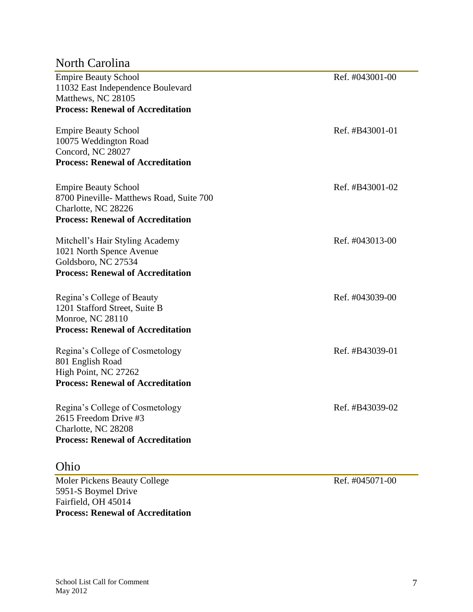#### North Carolina

| <b>Empire Beauty School</b>              | Ref. #043001-00 |
|------------------------------------------|-----------------|
| 11032 East Independence Boulevard        |                 |
| Matthews, NC 28105                       |                 |
| <b>Process: Renewal of Accreditation</b> |                 |
|                                          |                 |
| <b>Empire Beauty School</b>              | Ref. #B43001-01 |
| 10075 Weddington Road                    |                 |
| Concord, NC 28027                        |                 |
| <b>Process: Renewal of Accreditation</b> |                 |
|                                          |                 |
| <b>Empire Beauty School</b>              | Ref. #B43001-02 |
| 8700 Pineville- Matthews Road, Suite 700 |                 |
|                                          |                 |
| Charlotte, NC 28226                      |                 |
| <b>Process: Renewal of Accreditation</b> |                 |
| Mitchell's Hair Styling Academy          | Ref. #043013-00 |
| 1021 North Spence Avenue                 |                 |
| Goldsboro, NC 27534                      |                 |
| <b>Process: Renewal of Accreditation</b> |                 |
|                                          |                 |
| Regina's College of Beauty               | Ref. #043039-00 |
| 1201 Stafford Street, Suite B            |                 |
| <b>Monroe, NC 28110</b>                  |                 |
|                                          |                 |
| <b>Process: Renewal of Accreditation</b> |                 |
| Regina's College of Cosmetology          | Ref. #B43039-01 |
| 801 English Road                         |                 |
| High Point, NC 27262                     |                 |
| <b>Process: Renewal of Accreditation</b> |                 |
|                                          |                 |
| Regina's College of Cosmetology          | Ref. #B43039-02 |
| 2615 Freedom Drive #3                    |                 |
| Charlotte, NC 28208                      |                 |
|                                          |                 |
| <b>Process: Renewal of Accreditation</b> |                 |
|                                          |                 |

### Ohio

Moler Pickens Beauty College Ref. #045071-00 5951-S Boymel Drive Fairfield, OH 45014 **Process: Renewal of Accreditation**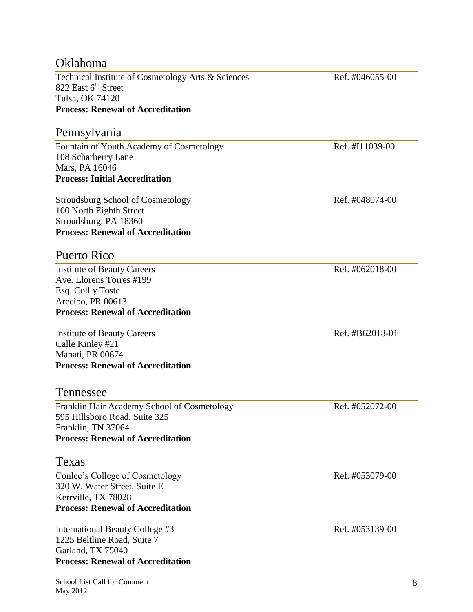| Oklahoma                                           |                 |  |  |
|----------------------------------------------------|-----------------|--|--|
| Technical Institute of Cosmetology Arts & Sciences | Ref. #046055-00 |  |  |
| 822 East 6 <sup>th</sup> Street                    |                 |  |  |
| Tulsa, OK 74120                                    |                 |  |  |
| <b>Process: Renewal of Accreditation</b>           |                 |  |  |
| Pennsylvania                                       |                 |  |  |
| Fountain of Youth Academy of Cosmetology           | Ref. #I11039-00 |  |  |
| 108 Scharberry Lane                                |                 |  |  |
| Mars, PA 16046                                     |                 |  |  |
| <b>Process: Initial Accreditation</b>              |                 |  |  |
| <b>Stroudsburg School of Cosmetology</b>           | Ref. #048074-00 |  |  |
| 100 North Eighth Street                            |                 |  |  |
| Stroudsburg, PA 18360                              |                 |  |  |
| <b>Process: Renewal of Accreditation</b>           |                 |  |  |
| <b>Puerto Rico</b>                                 |                 |  |  |
| <b>Institute of Beauty Careers</b>                 | Ref. #062018-00 |  |  |
| Ave. Llorens Torres #199                           |                 |  |  |
| Esq. Coll y Toste                                  |                 |  |  |
| Arecibo, PR 00613                                  |                 |  |  |
| <b>Process: Renewal of Accreditation</b>           |                 |  |  |
| <b>Institute of Beauty Careers</b>                 | Ref. #B62018-01 |  |  |
| Calle Kinley #21                                   |                 |  |  |
| Manati, PR 00674                                   |                 |  |  |
| <b>Process: Renewal of Accreditation</b>           |                 |  |  |
| Tennessee                                          |                 |  |  |
| Franklin Hair Academy School of Cosmetology        | Ref. #052072-00 |  |  |
| 595 Hillsboro Road, Suite 325                      |                 |  |  |
| Franklin, TN 37064                                 |                 |  |  |
| <b>Process: Renewal of Accreditation</b>           |                 |  |  |
| Texas                                              |                 |  |  |
| Conlee's College of Cosmetology                    | Ref. #053079-00 |  |  |
| 320 W. Water Street, Suite E                       |                 |  |  |
| Kerrville, TX 78028                                |                 |  |  |
| <b>Process: Renewal of Accreditation</b>           |                 |  |  |
| International Beauty College #3                    | Ref. #053139-00 |  |  |
| 1225 Beltline Road, Suite 7                        |                 |  |  |
| Garland, TX 75040                                  |                 |  |  |
| <b>Process: Renewal of Accreditation</b>           |                 |  |  |
|                                                    |                 |  |  |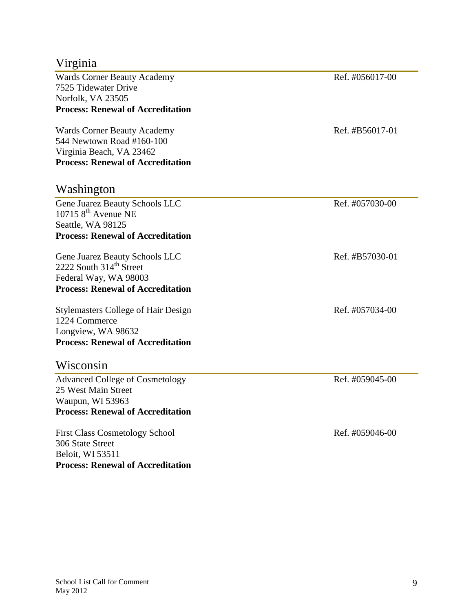#### Virginia

Wards Corner Beauty Academy **Ref.** #056017-00 7525 Tidewater Drive Norfolk, VA 23505 **Process: Renewal of Accreditation**

Wards Corner Beauty Academy **Ref.** #B56017-01 544 Newtown Road #160-100 Virginia Beach, VA 23462 **Process: Renewal of Accreditation**

#### Washington

Gene Juarez Beauty Schools LLC Ref. #057030-00  $107158$ <sup>th</sup> Avenue NE Seattle, WA 98125 **Process: Renewal of Accreditation**

Gene Juarez Beauty Schools LLC Ref. #B57030-01 2222 South 314<sup>th</sup> Street Federal Way, WA 98003 **Process: Renewal of Accreditation**

Stylemasters College of Hair Design Ref. #057034-00 1224 Commerce Longview, WA 98632 **Process: Renewal of Accreditation**

#### Wisconsin

Advanced College of Cosmetology Ref. #059045-00 25 West Main Street Waupun, WI 53963 **Process: Renewal of Accreditation**

First Class Cosmetology School Ref. #059046-00 306 State Street Beloit, WI 53511 **Process: Renewal of Accreditation**